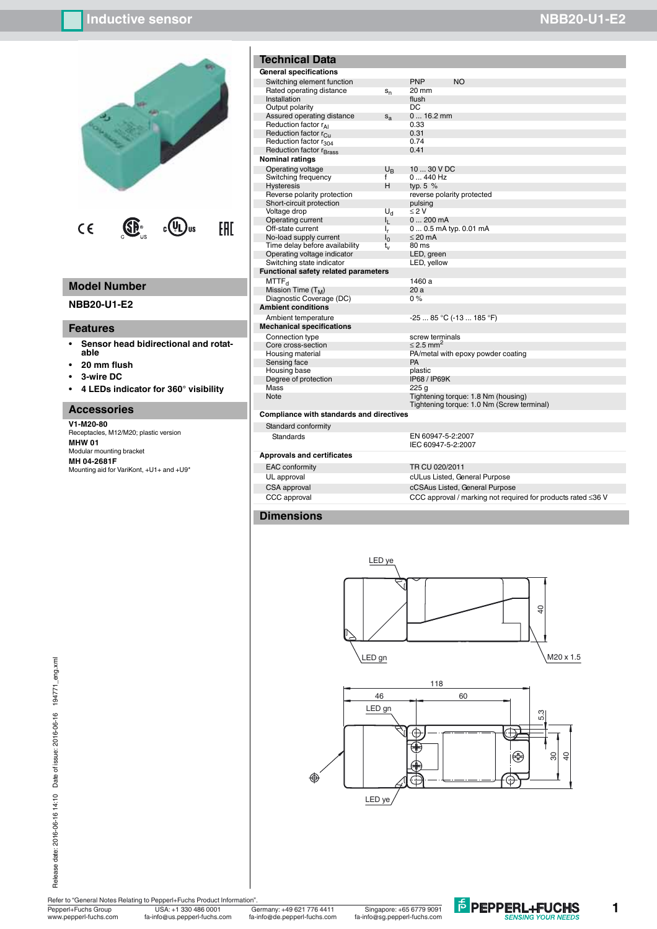# **Inductive sensor NBB20-U1-E2**



# **Model Number**

**NBB20-U1-E2**

### **Features**

- **ï Sensor head bidirectional and rotatable**
- **ï 20 mm flush**
- **ï 3-wire DC**
- **ï 4 LEDs indicator for 360° visibility**

## **Accessories**

**V1-M20-80** Receptacles, M12/M20; plastic version **MHW 01** Modular mounting bracket **MH 04-2681F** Mounting aid for VariKont, +U1+ and +U9\*

| <b>Technical Data</b>                       |                |                         |                                    |
|---------------------------------------------|----------------|-------------------------|------------------------------------|
| General specifications                      |                |                         |                                    |
| Switching element function                  |                | <b>PNP</b>              | <b>NO</b>                          |
| Rated operating distance                    | $S_n$          | $20 \text{ mm}$         |                                    |
| Installation                                |                | flush                   |                                    |
| Output polarity                             |                | DC                      |                                    |
| Assured operating distance                  | $S_{2}$        | $016.2$ mm              |                                    |
| Reduction factor $r_{\Delta 1}$             |                | 0.33                    |                                    |
| Reduction factor r <sub>Cu</sub>            |                | 0.31                    |                                    |
| Reduction factor r <sub>304</sub>           |                | 0.74                    |                                    |
| Reduction factor r <sub>Brass</sub>         |                | 0.41                    |                                    |
| <b>Nominal ratings</b>                      |                |                         |                                    |
| Operating voltage                           | $U_{R}$        | 10  30 V DC             |                                    |
| Switching frequency                         | f              | $0440$ Hz               |                                    |
| <b>Hysteresis</b>                           | н              | typ. $5\%$              |                                    |
| Reverse polarity protection                 |                |                         | reverse polarity protected         |
| Short-circuit protection                    |                | pulsing                 |                                    |
| Voltage drop                                | U <sub>d</sub> | < 2V                    |                                    |
| Operating current                           | η.             | $0200$ mA               |                                    |
| Off-state current                           | ı,             | 0 0.5 mA typ. 0.01 mA   |                                    |
| No-load supply current                      | $I_0$          | $\leq$ 20 mA            |                                    |
| Time delay before availability              | t,             | $80 \text{ ms}$         |                                    |
| Operating voltage indicator                 |                | LED, green              |                                    |
| Switching state indicator                   |                | LED, yellow             |                                    |
| <b>Functional safety related parameters</b> |                |                         |                                    |
| MTTF <sub>d</sub>                           |                | 1460 a                  |                                    |
| Mission Time $(T_M)$                        |                | 20a                     |                                    |
| Diagnostic Coverage (DC)                    |                | $0\%$                   |                                    |
| <b>Ambient conditions</b>                   |                |                         |                                    |
| Ambient temperature                         |                |                         | -25  85 °C (-13  185 °F)           |
| <b>Mechanical specifications</b>            |                |                         |                                    |
| Connection type                             |                | screw terminals         |                                    |
| Core cross-section                          |                | $< 2.5$ mm <sup>2</sup> |                                    |
| Housing material                            |                |                         | PA/metal with epoxy powder coating |
| Sensing face                                |                | PA                      |                                    |
| Housing base                                |                | plastic                 |                                    |
| Degree of protection                        |                | IP68 / IP69K            |                                    |
| Mass                                        |                | 225q                    |                                    |

| <b>SWITCHING EIGHTEIT INTICHOLL</b>     |                | <b>FIVE</b><br>שוו         |                                                                                   |  |
|-----------------------------------------|----------------|----------------------------|-----------------------------------------------------------------------------------|--|
| Rated operating distance                | $S_n$          | 20 mm                      |                                                                                   |  |
| Installation                            |                | flush                      |                                                                                   |  |
| Output polarity                         |                | DC                         |                                                                                   |  |
| Assured operating distance              | $S_{2}$        | $016.2$ mm                 |                                                                                   |  |
| Reduction factor r <sub>AI</sub>        |                | 0.33                       |                                                                                   |  |
| Reduction factor r <sub>Cu</sub>        |                | 0.31                       |                                                                                   |  |
| Reduction factor r <sub>304</sub>       |                | 0.74                       |                                                                                   |  |
| Reduction factor r <sub>Brass</sub>     |                | 0.41                       |                                                                                   |  |
| ominal ratings                          |                |                            |                                                                                   |  |
| Operating voltage                       | $U_{R}$        | 10  30 V DC                |                                                                                   |  |
| Switching frequency                     | f              | $0440$ Hz                  |                                                                                   |  |
| <b>Hysteresis</b>                       | н              | typ. $5\%$                 |                                                                                   |  |
| Reverse polarity protection             |                | reverse polarity protected |                                                                                   |  |
| Short-circuit protection                |                | pulsing                    |                                                                                   |  |
| Voltage drop                            | U <sub>d</sub> | $\leq$ 2 V                 |                                                                                   |  |
| Operating current                       | Ь.             | 0200mA                     |                                                                                   |  |
| Off-state current                       | ı,             | $00.5$ mA typ. 0.01 mA     |                                                                                   |  |
| No-load supply current                  | $I_0$          | $\leq$ 20 mA               |                                                                                   |  |
| Time delay before availability          | t,             | 80 ms                      |                                                                                   |  |
| Operating voltage indicator             |                | LED, green                 |                                                                                   |  |
| Switching state indicator               |                | LED, yellow                |                                                                                   |  |
| unctional safety related parameters     |                |                            |                                                                                   |  |
| MTTF <sub>d</sub>                       |                | 1460 a                     |                                                                                   |  |
| Mission Time (T <sub>M</sub> )          |                | 20a                        |                                                                                   |  |
| Diagnostic Coverage (DC)                |                | 0%                         |                                                                                   |  |
| mbient conditions                       |                |                            |                                                                                   |  |
| Ambient temperature                     |                | $-2585 °C (-13185 °F)$     |                                                                                   |  |
| echanical specifications                |                |                            |                                                                                   |  |
| Connection type                         |                | screw terminals            |                                                                                   |  |
| Core cross-section                      |                | $\leq$ 2.5 mm <sup>2</sup> |                                                                                   |  |
| Housing material                        |                |                            | PA/metal with epoxy powder coating                                                |  |
| Sensing face                            |                | PA                         |                                                                                   |  |
| Housing base                            |                | plastic                    |                                                                                   |  |
| Degree of protection                    |                | IP68 / IP69K               |                                                                                   |  |
| Mass                                    |                | 225 <sub>a</sub>           |                                                                                   |  |
| Note                                    |                |                            | Tightening torque: 1.8 Nm (housing)<br>Tightening torque: 1.0 Nm (Screw terminal) |  |
| ompliance with standards and directives |                |                            |                                                                                   |  |
| Standard conformity                     |                |                            |                                                                                   |  |

## **Compliance with standards and direction**

Standard conformity Standards EN 60947-5-2:2007

#### **Approvals and certificates**

| <b>EAC</b> conformity | TR CU 020/2011                                               |
|-----------------------|--------------------------------------------------------------|
| UL approval           | cULus Listed, General Purpose                                |
| CSA approval          | cCSAus Listed, General Purpose                               |
| CCC approval          | CCC approval / marking not required for products rated ≤36 V |
|                       |                                                              |

IEC 60947-5-2:2007

## **Dimensions**





Refer to "General Notes Relating to Pepperl+Fuchs Product Information".